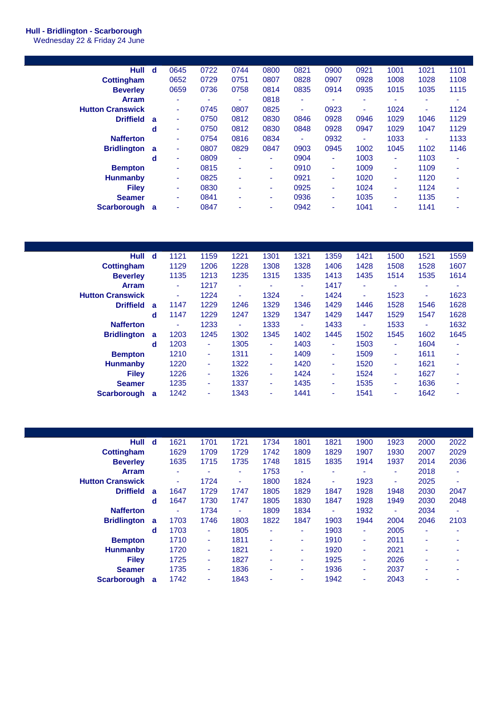## **Hull - Bridlington - Scarborough**

Wednesday 22 & Friday 24 June

| <b>Hull</b>             | d | 0645 | 0722 | 0744 | 0800 | 0821 | 0900 | 0921 | 1001                     | 1021 | 1101 |
|-------------------------|---|------|------|------|------|------|------|------|--------------------------|------|------|
| <b>Cottingham</b>       |   | 0652 | 0729 | 0751 | 0807 | 0828 | 0907 | 0928 | 1008                     | 1028 | 1108 |
| <b>Beverley</b>         |   | 0659 | 0736 | 0758 | 0814 | 0835 | 0914 | 0935 | 1015                     | 1035 | 1115 |
| <b>Arram</b>            |   | ٠    | ۰    | ۰    | 0818 | ۰    | ۰    | ٠    |                          | ۰    | ۰    |
| <b>Hutton Cranswick</b> |   | ٠    | 0745 | 0807 | 0825 | ٠    | 0923 | ۰    | 1024                     | ٠    | 1124 |
| <b>Driffield</b>        | a | ٠    | 0750 | 0812 | 0830 | 0846 | 0928 | 0946 | 1029                     | 1046 | 1129 |
|                         | d | ٠    | 0750 | 0812 | 0830 | 0848 | 0928 | 0947 | 1029                     | 1047 | 1129 |
| <b>Nafferton</b>        |   | ٠    | 0754 | 0816 | 0834 | ۰    | 0932 | ٠    | 1033                     | ٠    | 1133 |
| <b>Bridlington</b>      | a | ۰    | 0807 | 0829 | 0847 | 0903 | 0945 | 1002 | 1045                     | 1102 | 1146 |
|                         | d | ٠    | 0809 | ۰    | ٠    | 0904 | ٠    | 1003 | ٠                        | 1103 | ٠    |
| <b>Bempton</b>          |   | ٠    | 0815 | ٠    | ٠    | 0910 | ٠    | 1009 | ٠                        | 1109 | ۰    |
| <b>Hunmanby</b>         |   | ٠    | 0825 | ۰    | ٠    | 0921 | ٠    | 1020 | ٠                        | 1120 | ٠    |
| <b>Filev</b>            |   | ٠    | 0830 | ۰    | ٠    | 0925 | ٠    | 1024 | ٠                        | 1124 | ۰    |
| <b>Seamer</b>           |   | ٠    | 0841 | ٠    | ٠    | 0936 | ٠    | 1035 | $\overline{\phantom{a}}$ | 1135 | ۰    |
| <b>Scarborough</b>      | a | ۰    | 0847 | ۰    | ۰    | 0942 | ۰    | 1041 | ۰                        | 1141 |      |
|                         |   |      |      |      |      |      |      |      |                          |      |      |

| <b>Hull</b>             | d | 1121 | 1159 | 1221 | 1301 | 1321 | 1359 | 1421 | 1500 | 1521 | 1559 |
|-------------------------|---|------|------|------|------|------|------|------|------|------|------|
| <b>Cottingham</b>       |   | 1129 | 1206 | 1228 | 1308 | 1328 | 1406 | 1428 | 1508 | 1528 | 1607 |
| <b>Beverley</b>         |   | 1135 | 1213 | 1235 | 1315 | 1335 | 1413 | 1435 | 1514 | 1535 | 1614 |
| <b>Arram</b>            |   | ٠    | 1217 | ٠    | ۰    | ٠    | 1417 | ٠    | ٠    | ۰    | ۰    |
| <b>Hutton Cranswick</b> |   | ٠    | 1224 | ٠    | 1324 | ٠    | 1424 | ۰.   | 1523 | ٠    | 1623 |
| <b>Driffield</b>        | a | 1147 | 1229 | 1246 | 1329 | 1346 | 1429 | 1446 | 1528 | 1546 | 1628 |
|                         | d | 1147 | 1229 | 1247 | 1329 | 1347 | 1429 | 1447 | 1529 | 1547 | 1628 |
| <b>Nafferton</b>        |   | ٠    | 1233 | ٠    | 1333 | ٠    | 1433 | ٠    | 1533 | ٠    | 1632 |
| <b>Bridlington</b>      | a | 1203 | 1245 | 1302 | 1345 | 1402 | 1445 | 1502 | 1545 | 1602 | 1645 |
|                         | d | 1203 | ٠    | 1305 | ٠    | 1403 | ٠    | 1503 | ٠    | 1604 | ٠    |
| <b>Bempton</b>          |   | 1210 | ۰.   | 1311 | ٠    | 1409 | ٠    | 1509 | ٠    | 1611 | ٠    |
| <b>Hunmanby</b>         |   | 1220 | ۰.   | 1322 | ٠    | 1420 | ٠    | 1520 | ٠    | 1621 | ٠    |
| <b>Filev</b>            |   | 1226 | ٠    | 1326 | ٠    | 1424 | ٠    | 1524 | ٠    | 1627 | ٠    |
| <b>Seamer</b>           |   | 1235 | ٠    | 1337 | ٠    | 1435 | ٠    | 1535 | ۰.   | 1636 | ٠    |
| Scarborough             | a | 1242 | ۰    | 1343 | ٠    | 1441 | ٠    | 1541 | ۰.   | 1642 | ۰    |

| Hull                    | d        | 1621 | 1701 | 1721 | 1734 | 1801 | 1821 | 1900 | 1923                     | 2000 | 2022 |
|-------------------------|----------|------|------|------|------|------|------|------|--------------------------|------|------|
| <b>Cottingham</b>       |          | 1629 | 1709 | 1729 | 1742 | 1809 | 1829 | 1907 | 1930                     | 2007 | 2029 |
| <b>Beverley</b>         |          | 1635 | 1715 | 1735 | 1748 | 1815 | 1835 | 1914 | 1937                     | 2014 | 2036 |
| <b>Arram</b>            |          | ۰    | ۰    | ٠    | 1753 | ٠    | ۰    | ۰    | $\overline{\phantom{a}}$ | 2018 | ٠    |
| <b>Hutton Cranswick</b> |          | ٠    | 1724 | ٠    | 1800 | 1824 | ۰    | 1923 | ٠                        | 2025 | ٠    |
| <b>Driffield</b>        | a        | 1647 | 1729 | 1747 | 1805 | 1829 | 1847 | 1928 | 1948                     | 2030 | 2047 |
|                         | d        | 1647 | 1730 | 1747 | 1805 | 1830 | 1847 | 1928 | 1949                     | 2030 | 2048 |
| <b>Nafferton</b>        |          | ۰    | 1734 | ٠    | 1809 | 1834 | ٠    | 1932 | ٠                        | 2034 | ۰    |
| <b>Bridlington</b>      | <b>a</b> | 1703 | 1746 | 1803 | 1822 | 1847 | 1903 | 1944 | 2004                     | 2046 | 2103 |
|                         | d        | 1703 | ٠    | 1805 | ۰    | ۰    | 1903 | ٠    | 2005                     | ٠    | ۰    |
| <b>Bempton</b>          |          | 1710 | ٠    | 1811 | ٠    | ٠    | 1910 | ٠    | 2011                     | ٠    | ۰    |
| <b>Hunmanby</b>         |          | 1720 | ٠    | 1821 | ۰    |      | 1920 | ٠    | 2021                     | ٠    |      |
| <b>Filev</b>            |          | 1725 | ٠    | 1827 | ۰    | ۰    | 1925 | ٠    | 2026                     | ٠    | ۰    |
| <b>Seamer</b>           |          | 1735 | ٠    | 1836 | ۰    | ۰    | 1936 | ٠    | 2037                     | ۰    | ۰    |
| Scarborough             | a        | 1742 | ۰    | 1843 | ۰    | ۰    | 1942 | ٠    | 2043                     | ۰    | ۰    |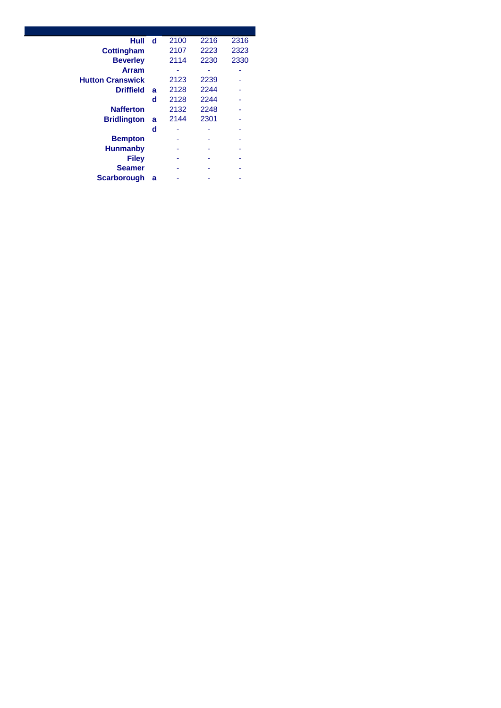| Hull                    | d | 2100 | 2216 | 2316 |
|-------------------------|---|------|------|------|
| <b>Cottingham</b>       |   | 2107 | 2223 | 2323 |
| <b>Beverley</b>         |   | 2114 | 2230 | 2330 |
| <b>Arram</b>            |   |      |      |      |
| <b>Hutton Cranswick</b> |   | 2123 | 2239 |      |
| <b>Driffield</b>        | a | 2128 | 2244 |      |
|                         | d | 2128 | 2244 |      |
| <b>Nafferton</b>        |   | 2132 | 2248 |      |
| <b>Bridlington</b>      | a | 2144 | 2301 |      |
|                         | d |      |      |      |
| <b>Bempton</b>          |   |      |      |      |
| <b>Hunmanby</b>         |   |      |      |      |
| <b>Filey</b>            |   |      |      |      |
| <b>Seamer</b>           |   |      |      |      |
| <b>Scarborough</b>      | a |      |      |      |
|                         |   |      |      |      |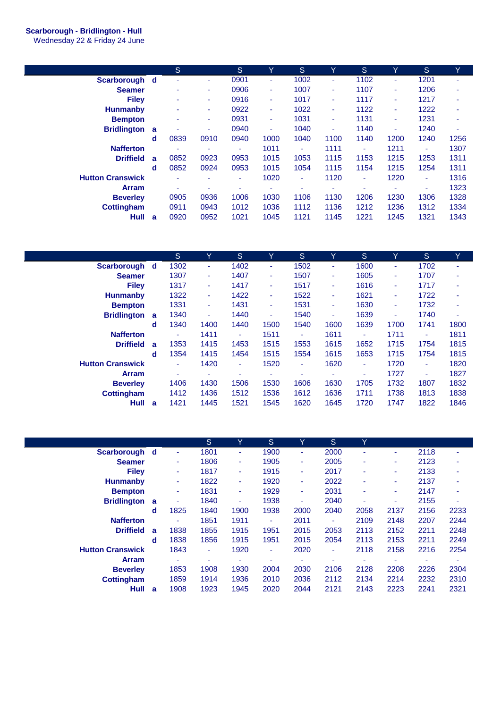## **Scarborough - Bridlington - Hull**

Wednesday 22 & Friday 24 June

|                         |   | S    |      | <sub>S</sub> | Y    | ls.                      | Y    | S.   | Y                        | <sub>S</sub> | Y    |
|-------------------------|---|------|------|--------------|------|--------------------------|------|------|--------------------------|--------------|------|
| Scarborough d           |   |      | ۰    | 0901         |      | 1002                     | ٠    | 1102 | $\blacksquare$           | 1201         | ۰    |
| <b>Seamer</b>           |   | ۰    | ۰    | 0906         | ۰    | 1007                     | ۰    | 1107 | ٠                        | 1206         | ۰    |
| <b>Filev</b>            |   | ٠    | ۰    | 0916         | ۰    | 1017                     | ۰    | 1117 | ٠                        | 1217         |      |
| <b>Hunmanby</b>         |   | ٠    | ۰    | 0922         | ٠    | 1022                     | ٠    | 1122 | $\blacksquare$           | 1222         |      |
| <b>Bempton</b>          |   |      | ٠    | 0931         | ٠    | 1031                     | ٠    | 1131 | ۰                        | 1231         |      |
| <b>Bridlington</b>      | a |      | ٠    | 0940         | ۰    | 1040                     | ٠    | 1140 | ٠                        | 1240         | ۰    |
|                         | d | 0839 | 0910 | 0940         | 1000 | 1040                     | 1100 | 1140 | 1200                     | 1240         | 1256 |
| <b>Nafferton</b>        |   | ٠    | ۰    | ٠            | 1011 | ٠                        | 1111 | ٠    | 1211                     | ٠            | 1307 |
| <b>Driffield</b>        | a | 0852 | 0923 | 0953         | 1015 | 1053                     | 1115 | 1153 | 1215                     | 1253         | 1311 |
|                         | d | 0852 | 0924 | 0953         | 1015 | 1054                     | 1115 | 1154 | 1215                     | 1254         | 1311 |
| <b>Hutton Cranswick</b> |   | ۰    | ۰    | ۰            | 1020 | ۰                        | 1120 | ٠    | 1220                     | ۰            | 1316 |
| <b>Arram</b>            |   | ٠    | ۰    | ۰            | ۰    | $\overline{\phantom{a}}$ | ۰    | ۰    | $\overline{\phantom{a}}$ | ٠            | 1323 |
| <b>Beverley</b>         |   | 0905 | 0936 | 1006         | 1030 | 1106                     | 1130 | 1206 | 1230                     | 1306         | 1328 |
| <b>Cottingham</b>       |   | 0911 | 0943 | 1012         | 1036 | 1112                     | 1136 | 1212 | 1236                     | 1312         | 1334 |
| Hull                    | a | 0920 | 0952 | 1021         | 1045 | 1121                     | 1145 | 1221 | 1245                     | 1321         | 1343 |
|                         |   |      |      |              |      |                          |      |      |                          |              |      |

|                         |   | S.   | Y    | S.   | Y                        | S    | Y              | <sub>S</sub> | Υ    | <sub>S</sub>   | Y.   |
|-------------------------|---|------|------|------|--------------------------|------|----------------|--------------|------|----------------|------|
| Scarborough d           |   | 1302 | ٠    | 1402 | ٠                        | 1502 | ٠              | 1600         | ٠    | 1702           | ۰    |
| <b>Seamer</b>           |   | 1307 | ۰.   | 1407 | ٠                        | 1507 | ٠              | 1605         | ٠    | 1707           | ۰    |
| <b>Filey</b>            |   | 1317 | ٠    | 1417 | ٠                        | 1517 | $\blacksquare$ | 1616         | ۰    | 1717           | ۰    |
| <b>Hunmanby</b>         |   | 1322 | ٠    | 1422 | ٠                        | 1522 | ٠              | 1621         | ٠    | 1722           | ۰    |
| <b>Bempton</b>          |   | 1331 | ٠    | 1431 | $\blacksquare$           | 1531 | ٠              | 1630         | ٠    | 1732           | ٠    |
| <b>Bridlington</b>      | a | 1340 | ٠    | 1440 | $\overline{\phantom{0}}$ | 1540 | ٠              | 1639         | ٠    | 1740           | ٠    |
|                         | d | 1340 | 1400 | 1440 | 1500                     | 1540 | 1600           | 1639         | 1700 | 1741           | 1800 |
| <b>Nafferton</b>        |   | ٠    | 1411 | ٠    | 1511                     | ٠    | 1611           | ٠            | 1711 | ٠              | 1811 |
| <b>Driffield</b>        | a | 1353 | 1415 | 1453 | 1515                     | 1553 | 1615           | 1652         | 1715 | 1754           | 1815 |
|                         | d | 1354 | 1415 | 1454 | 1515                     | 1554 | 1615           | 1653         | 1715 | 1754           | 1815 |
| <b>Hutton Cranswick</b> |   | ٠    | 1420 | ٠    | 1520                     | ٠    | 1620           | ٠            | 1720 | $\blacksquare$ | 1820 |
| Arram                   |   | ۰    | ۰    | ۰    | $\overline{\phantom{a}}$ | ۰    | ۰              | ۰            | 1727 | ٠              | 1827 |
| <b>Beverley</b>         |   | 1406 | 1430 | 1506 | 1530                     | 1606 | 1630           | 1705         | 1732 | 1807           | 1832 |
| <b>Cottingham</b>       |   | 1412 | 1436 | 1512 | 1536                     | 1612 | 1636           | 1711         | 1738 | 1813           | 1838 |
| Hull                    | a | 1421 | 1445 | 1521 | 1545                     | 1620 | 1645           | 1720         | 1747 | 1822           | 1846 |

|                         |   |                | S.   | Y              | <sub>S</sub> | Y                        | S.             | Y    |      |                          |      |
|-------------------------|---|----------------|------|----------------|--------------|--------------------------|----------------|------|------|--------------------------|------|
| Scarborough d           |   | ٠              | 1801 | ٠              | 1900         | ۰                        | 2000           |      | ۰    | 2118                     | ۰    |
| <b>Seamer</b>           |   | ٠              | 1806 | ٠              | 1905         | ٠                        | 2005           | ۰    | ٠    | 2123                     | ۰    |
| <b>Filev</b>            |   | ٠              | 1817 | ٠              | 1915         | ٠                        | 2017           | ۰    | ۰    | 2133                     | ۰    |
| <b>Hunmanby</b>         |   | ٠              | 1822 | $\blacksquare$ | 1920         | ٠                        | 2022           | ۰    | ٠    | 2137                     | ۰    |
| <b>Bempton</b>          |   | ٠              | 1831 | $\blacksquare$ | 1929         | ٠                        | 2031           | ۰    | ٠    | 2147                     | ۰    |
| <b>Bridlington</b>      | a | ٠              | 1840 | ٠              | 1938         | ٠                        | 2040           |      | ۰    | 2155                     | ۰    |
|                         | d | 1825           | 1840 | 1900           | 1938         | 2000                     | 2040           | 2058 | 2137 | 2156                     | 2233 |
| <b>Nafferton</b>        |   | ٠              | 1851 | 1911           | ٠            | 2011                     | ٠              | 2109 | 2148 | 2207                     | 2244 |
| <b>Driffield</b>        | a | 1838           | 1855 | 1915           | 1951         | 2015                     | 2053           | 2113 | 2152 | 2211                     | 2248 |
|                         | d | 1838           | 1856 | 1915           | 1951         | 2015                     | 2054           | 2113 | 2153 | 2211                     | 2249 |
| <b>Hutton Cranswick</b> |   | 1843           | ٠    | 1920           | ٠            | 2020                     | $\blacksquare$ | 2118 | 2158 | 2216                     | 2254 |
| <b>Arram</b>            |   | $\blacksquare$ | ۰    | ٠              | ۰            | $\overline{\phantom{a}}$ | ۰              | ۰    | ۰    | $\overline{\phantom{a}}$ | ۰    |
| <b>Beverley</b>         |   | 1853           | 1908 | 1930           | 2004         | 2030                     | 2106           | 2128 | 2208 | 2226                     | 2304 |
| <b>Cottingham</b>       |   | 1859           | 1914 | 1936           | 2010         | 2036                     | 2112           | 2134 | 2214 | 2232                     | 2310 |
| Hull                    | a | 1908           | 1923 | 1945           | 2020         | 2044                     | 2121           | 2143 | 2223 | 2241                     | 2321 |